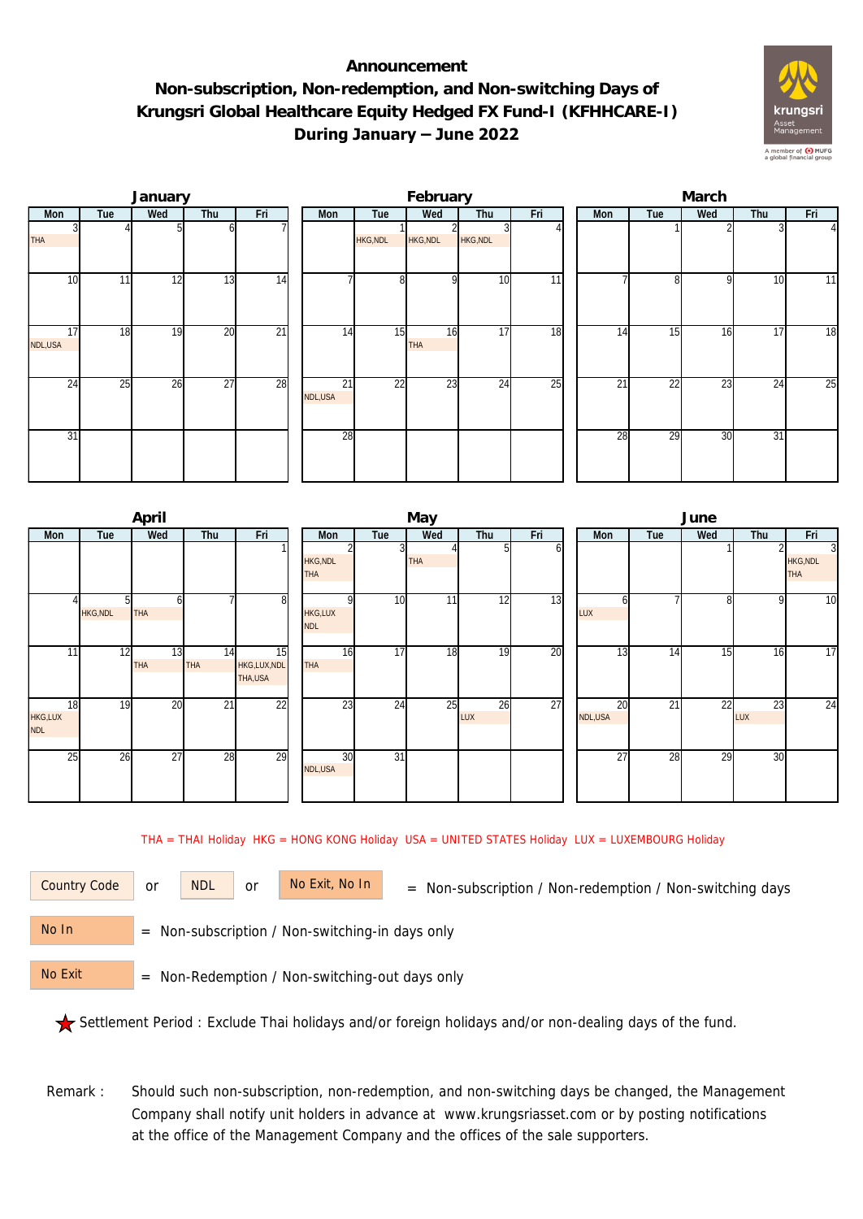## **Announcement Non-subscription, Non-redemption, and Non-switching Days of Krungsri Global Healthcare Equity Hedged FX Fund-I (KFHHCARE-I) During January – June 2022**



|                 |                 | January |                 |                 |                            |                 | February        |                 |                 | March |                 |                 |                 |                 |                |  |
|-----------------|-----------------|---------|-----------------|-----------------|----------------------------|-----------------|-----------------|-----------------|-----------------|-------|-----------------|-----------------|-----------------|-----------------|----------------|--|
| Mon             | Tue             | Wed     | Thu             | Fri             | Mon                        | Tue             | Wed             | Thu             | Fri             |       | Mon             | Tue             | Wed             | Thu             | Fri            |  |
| <b>THA</b>      |                 |         |                 |                 |                            | <b>HKG, NDL</b> | HKG, NDL        | <b>HKG, NDL</b> |                 |       |                 |                 |                 |                 | $\overline{4}$ |  |
| 10 <sup>1</sup> | 11              | 12      | 13              | 14              |                            | 8 <sup>1</sup>  |                 | 10              | 11              |       |                 | 8               | <sup>Q</sup>    | 10              | 11             |  |
| 17<br>NDL,USA   | 18              | 19      | 20              | $\overline{21}$ | 14                         | 15              | 16<br>THA       | 17              | 18              |       | 14              | 15              | 16              | 17              | 18             |  |
| 24              | $2\overline{5}$ | 26      | $\overline{27}$ | 28              | $\overline{21}$<br>NDL,USA | $\overline{22}$ | $2\overline{3}$ | 24              | $\overline{25}$ |       | $\overline{21}$ | $\overline{22}$ | $2\overline{3}$ | $\overline{24}$ | 25             |  |
| 31              |                 |         |                 |                 | 28                         |                 |                 |                 |                 |       | 28              | 29              | 30              | 31              |                |  |

|                             |                      | April            |                  |                              |                                          |                 | May |           |     | June            |     |     |           |                                                 |  |  |
|-----------------------------|----------------------|------------------|------------------|------------------------------|------------------------------------------|-----------------|-----|-----------|-----|-----------------|-----|-----|-----------|-------------------------------------------------|--|--|
| Mon                         | Tue                  | Wed              | Thu              | Fri                          | Mon                                      | Tue             | Wed | Thu       | Fri | Mon             | Tue | Wed | Thu       | Fri                                             |  |  |
|                             |                      |                  |                  |                              | <b>HKG, NDL</b><br><b>THA</b>            |                 | THA |           |     |                 |     |     |           | $\overline{3}$<br><b>HKG, NDL</b><br><b>THA</b> |  |  |
|                             | ור<br><b>HKG,NDL</b> | <b>THA</b>       |                  | 8                            | $\Omega$<br><b>HKG,LUX</b><br><b>NDL</b> | 10              | 11  | 12        | 13  | LUX             |     | 8   | 9         | 10                                              |  |  |
| 11                          | 12                   | 13<br><b>THA</b> | 14<br><b>THA</b> | 15<br>HKG,LUX,NDL<br>THA,USA | 16<br><b>THA</b>                         | 17              | 18  | 19        | 20  | $1\overline{3}$ | 14  | 15  | 16        | 17                                              |  |  |
| 18<br>HKG,LUX<br><b>NDL</b> | 19                   | 20               | $\overline{21}$  | 22                           | $2\overline{3}$                          | 24              | 25  | 26<br>LUX | 27  | 20<br>NDL,USA   | 21  | 22  | 23<br>LUX | 24                                              |  |  |
| 25                          | 26                   | 27               | 28               | 29                           | 30<br>NDL,USA                            | $\overline{31}$ |     |           |     | $\overline{27}$ | 28  | 29  | 30        |                                                 |  |  |

THA = THAI Holiday HKG = HONG KONG Holiday USA = UNITED STATES Holiday LUX = LUXEMBOURG Holiday

or NDL or

Country Code or NDL or No Exit, No In = Non-subscription / Non-redemption / Non-switching days

 = Non-subscription / Non-switching-in days only No In

 = Non-Redemption / Non-switching-out days only No Exit

Settlement Period : Exclude Thai holidays and/or foreign holidays and/or non-dealing days of the fund.

 Remark : Should such non-subscription, non-redemption, and non-switching days be changed, the Management Company shall notify unit holders in advance at www.krungsriasset.com or by posting notifications at the office of the Management Company and the offices of the sale supporters.